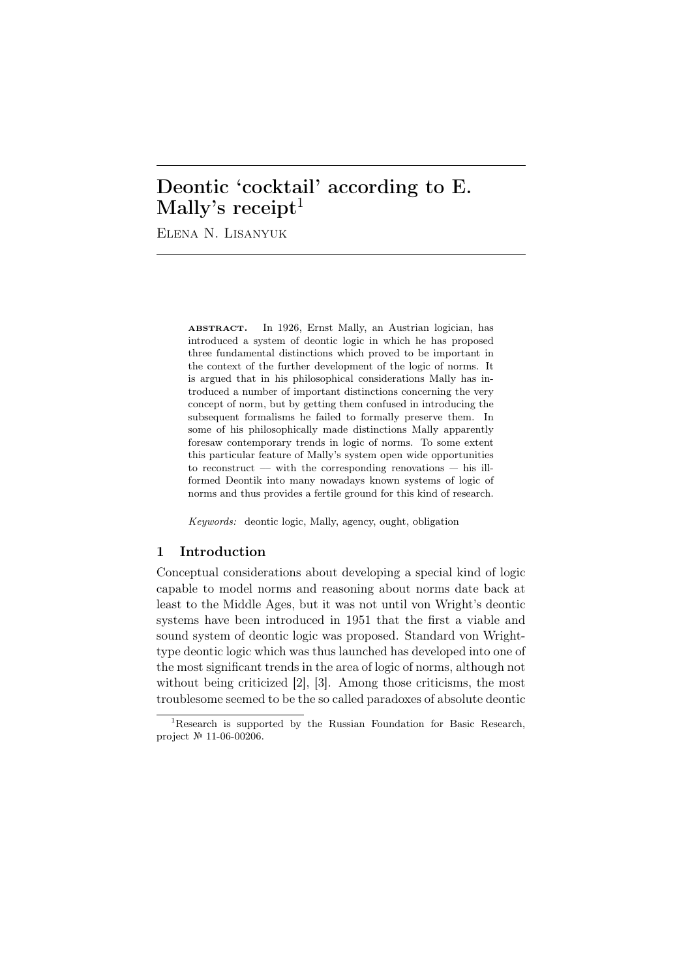# Deontic 'cocktail' according to E. Mally's receipt<sup>1</sup>

Elena N. Lisanyuk

ABSTRACT. In 1926, Ernst Mally, an Austrian logician, has introduced a system of deontic logic in which he has proposed three fundamental distinctions which proved to be important in the context of the further development of the logic of norms. It is argued that in his philosophical considerations Mally has introduced a number of important distinctions concerning the very concept of norm, but by getting them confused in introducing the subsequent formalisms he failed to formally preserve them. In some of his philosophically made distinctions Mally apparently foresaw contemporary trends in logic of norms. To some extent this particular feature of Mally's system open wide opportunities to reconstruct  $-$  with the corresponding renovations  $-$  his illformed Deontik into many nowadays known systems of logic of norms and thus provides a fertile ground for this kind of research.

*Keywords:* deontic logic, Mally, agency, ought, obligation

## 1 Introduction

Conceptual considerations about developing a special kind of logic capable to model norms and reasoning about norms date back at least to the Middle Ages, but it was not until von Wright's deontic systems have been introduced in 1951 that the first a viable and sound system of deontic logic was proposed. Standard von Wrighttype deontic logic which was thus launched has developed into one of the most significant trends in the area of logic of norms, although not without being criticized [2], [3]. Among those criticisms, the most troublesome seemed to be the so called paradoxes of absolute deontic

<sup>&</sup>lt;sup>1</sup>Research is supported by the Russian Foundation for Basic Research, project № 11-06-00206.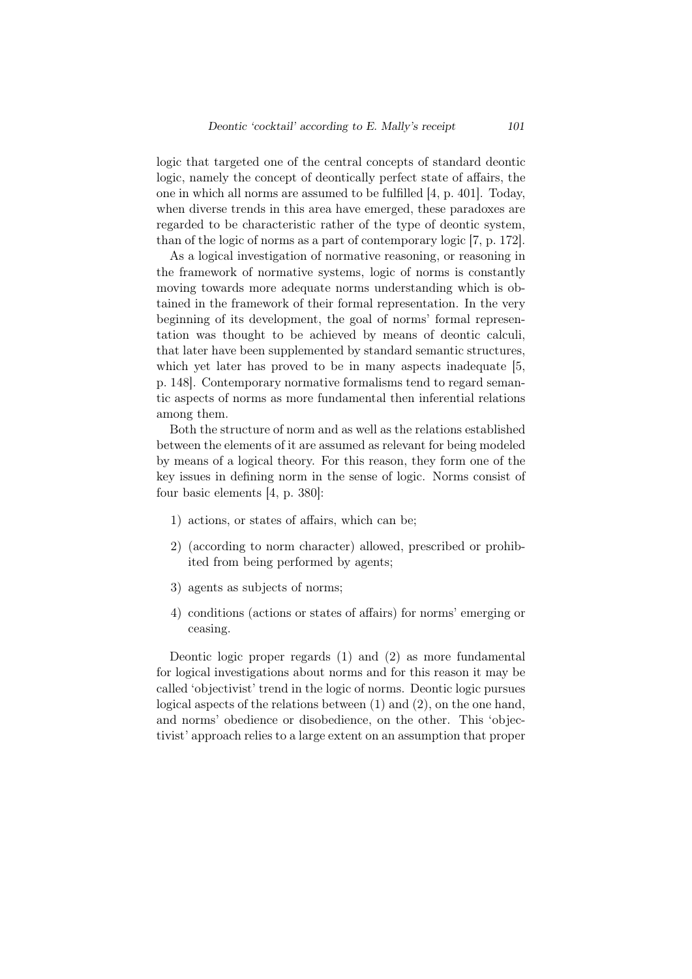logic that targeted one of the central concepts of standard deontic logic, namely the concept of deontically perfect state of affairs, the one in which all norms are assumed to be fulfilled [4, p. 401]. Today, when diverse trends in this area have emerged, these paradoxes are regarded to be characteristic rather of the type of deontic system, than of the logic of norms as a part of contemporary logic [7, p. 172].

As a logical investigation of normative reasoning, or reasoning in the framework of normative systems, logic of norms is constantly moving towards more adequate norms understanding which is obtained in the framework of their formal representation. In the very beginning of its development, the goal of norms' formal representation was thought to be achieved by means of deontic calculi, that later have been supplemented by standard semantic structures, which yet later has proved to be in many aspects inadequate [5, p. 148]. Contemporary normative formalisms tend to regard semantic aspects of norms as more fundamental then inferential relations among them.

Both the structure of norm and as well as the relations established between the elements of it are assumed as relevant for being modeled by means of a logical theory. For this reason, they form one of the key issues in defining norm in the sense of logic. Norms consist of four basic elements [4, p. 380]:

- 1) actions, or states of affairs, which can be;
- 2) (according to norm character) allowed, prescribed or prohibited from being performed by agents;
- 3) agents as subjects of norms;
- 4) conditions (actions or states of affairs) for norms' emerging or ceasing.

Deontic logic proper regards (1) and (2) as more fundamental for logical investigations about norms and for this reason it may be called 'objectivist' trend in the logic of norms. Deontic logic pursues logical aspects of the relations between (1) and (2), on the one hand, and norms' obedience or disobedience, on the other. This 'objectivist' approach relies to a large extent on an assumption that proper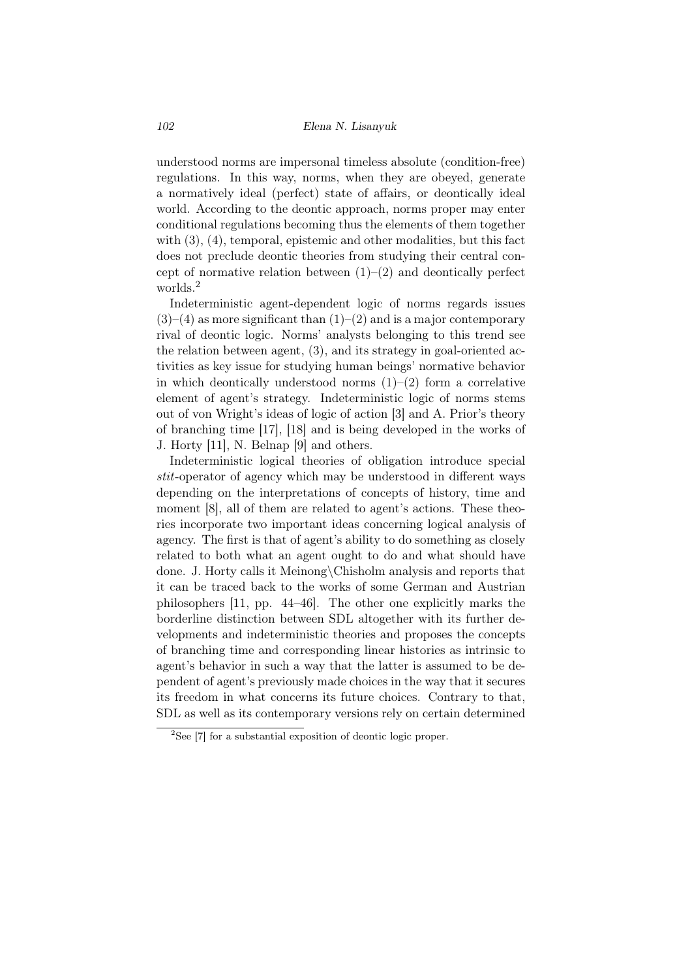understood norms are impersonal timeless absolute (condition-free) regulations. In this way, norms, when they are obeyed, generate a normatively ideal (perfect) state of affairs, or deontically ideal world. According to the deontic approach, norms proper may enter conditional regulations becoming thus the elements of them together with  $(3)$ ,  $(4)$ , temporal, epistemic and other modalities, but this fact does not preclude deontic theories from studying their central concept of normative relation between  $(1)$ – $(2)$  and deontically perfect worlds.<sup>2</sup>

Indeterministic agent-dependent logic of norms regards issues  $(3)$ – $(4)$  as more significant than  $(1)$ – $(2)$  and is a major contemporary rival of deontic logic. Norms' analysts belonging to this trend see the relation between agent, (3), and its strategy in goal-oriented activities as key issue for studying human beings' normative behavior in which deontically understood norms  $(1)$ – $(2)$  form a correlative element of agent's strategy. Indeterministic logic of norms stems out of von Wright's ideas of logic of action [3] and A. Prior's theory of branching time [17], [18] and is being developed in the works of J. Horty [11], N. Belnap [9] and others.

Indeterministic logical theories of obligation introduce special *stit*-operator of agency which may be understood in different ways depending on the interpretations of concepts of history, time and moment [8], all of them are related to agent's actions. These theories incorporate two important ideas concerning logical analysis of agency. The first is that of agent's ability to do something as closely related to both what an agent ought to do and what should have done. J. Horty calls it Meinong*\*Chisholm analysis and reports that it can be traced back to the works of some German and Austrian philosophers [11, pp. 44–46]. The other one explicitly marks the borderline distinction between SDL altogether with its further developments and indeterministic theories and proposes the concepts of branching time and corresponding linear histories as intrinsic to agent's behavior in such a way that the latter is assumed to be dependent of agent's previously made choices in the way that it secures its freedom in what concerns its future choices. Contrary to that, SDL as well as its contemporary versions rely on certain determined

<sup>2</sup>See [7] for a substantial exposition of deontic logic proper.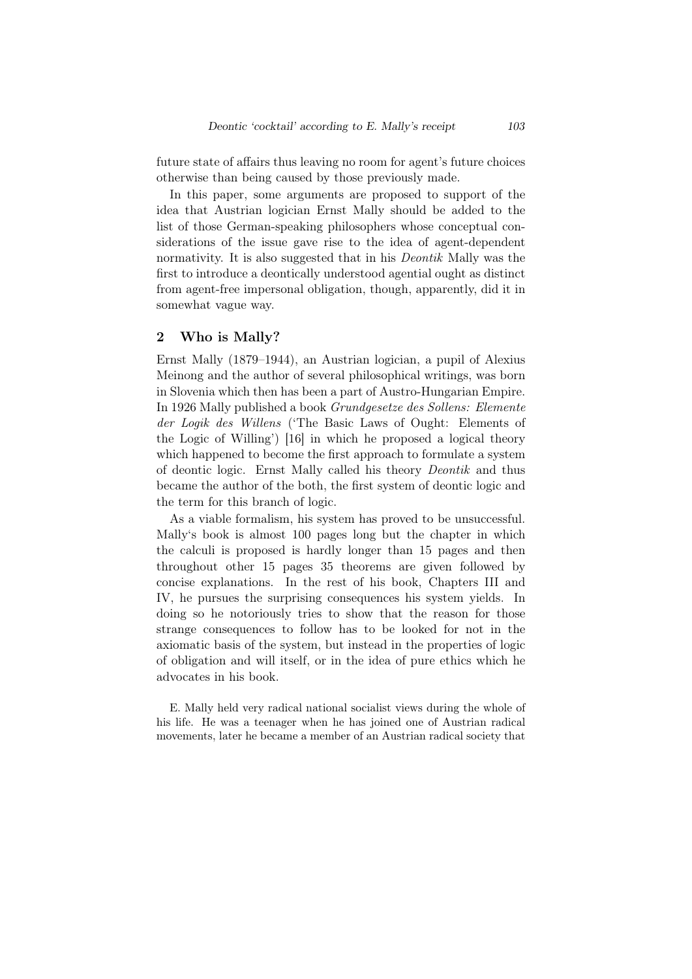future state of affairs thus leaving no room for agent's future choices otherwise than being caused by those previously made.

In this paper, some arguments are proposed to support of the idea that Austrian logician Ernst Mally should be added to the list of those German-speaking philosophers whose conceptual considerations of the issue gave rise to the idea of agent-dependent normativity. It is also suggested that in his *Deontik* Mally was the first to introduce a deontically understood agential ought as distinct from agent-free impersonal obligation, though, apparently, did it in somewhat vague way.

## 2 Who is Mally?

Ernst Mally (1879–1944), an Austrian logician, a pupil of Alexius Meinong and the author of several philosophical writings, was born in Slovenia which then has been a part of Austro-Hungarian Empire. In 1926 Mally published a book *Grundgesetze des Sollens: Elemente der Logik des Willens* ('The Basic Laws of Ought: Elements of the Logic of Willing') [16] in which he proposed a logical theory which happened to become the first approach to formulate a system of deontic logic. Ernst Mally called his theory *Deontik* and thus became the author of the both, the first system of deontic logic and the term for this branch of logic.

As a viable formalism, his system has proved to be unsuccessful. Mally's book is almost 100 pages long but the chapter in which the calculi is proposed is hardly longer than 15 pages and then throughout other 15 pages 35 theorems are given followed by concise explanations. In the rest of his book, Chapters III and IV, he pursues the surprising consequences his system yields. In doing so he notoriously tries to show that the reason for those strange consequences to follow has to be looked for not in the axiomatic basis of the system, but instead in the properties of logic of obligation and will itself, or in the idea of pure ethics which he advocates in his book.

E. Mally held very radical national socialist views during the whole of his life. He was a teenager when he has joined one of Austrian radical movements, later he became a member of an Austrian radical society that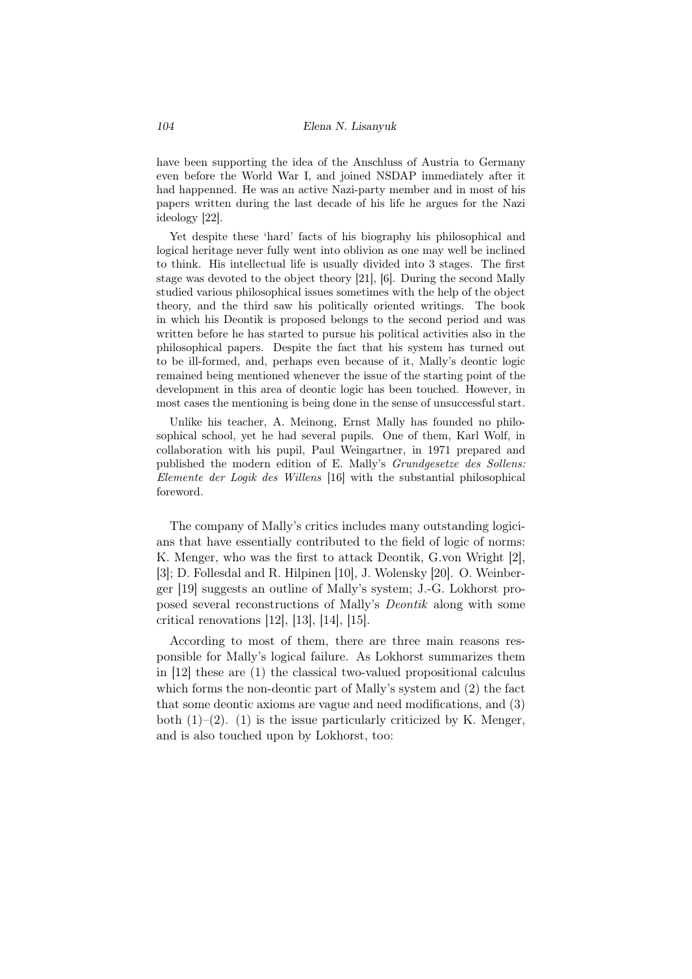have been supporting the idea of the Anschluss of Austria to Germany even before the World War I, and joined NSDAP immediately after it had happenned. He was an active Nazi-party member and in most of his papers written during the last decade of his life he argues for the Nazi ideology [22].

Yet despite these 'hard' facts of his biography his philosophical and logical heritage never fully went into oblivion as one may well be inclined to think. His intellectual life is usually divided into 3 stages. The first stage was devoted to the object theory [21], [6]. During the second Mally studied various philosophical issues sometimes with the help of the object theory, and the third saw his politically oriented writings. The book in which his Deontik is proposed belongs to the second period and was written before he has started to pursue his political activities also in the philosophical papers. Despite the fact that his system has turned out to be ill-formed, and, perhaps even because of it, Mally's deontic logic remained being mentioned whenever the issue of the starting point of the development in this area of deontic logic has been touched. However, in most cases the mentioning is being done in the sense of unsuccessful start.

Unlike his teacher, A. Meinong, Ernst Mally has founded no philosophical school, yet he had several pupils. One of them, Karl Wolf, in collaboration with his pupil, Paul Weingartner, in 1971 prepared and published the modern edition of E. Mally's *Grundgesetze des Sollens: Elemente der Logik des Willens* [16] with the substantial philosophical foreword.

The company of Mally's critics includes many outstanding logicians that have essentially contributed to the field of logic of norms: K. Menger, who was the first to attack Deontik, G.von Wright [2], [3]; D. Follesdal and R. Hilpinen [10], J. Wolensky [20]. O. Weinberger [19] suggests an outline of Mally's system; J.-G. Lokhorst proposed several reconstructions of Mally's *Deontik* along with some critical renovations [12], [13], [14], [15].

According to most of them, there are three main reasons responsible for Mally's logical failure. As Lokhorst summarizes them in [12] these are (1) the classical two-valued propositional calculus which forms the non-deontic part of Mally's system and (2) the fact that some deontic axioms are vague and need modifications, and (3) both  $(1)$ – $(2)$ .  $(1)$  is the issue particularly criticized by K. Menger, and is also touched upon by Lokhorst, too: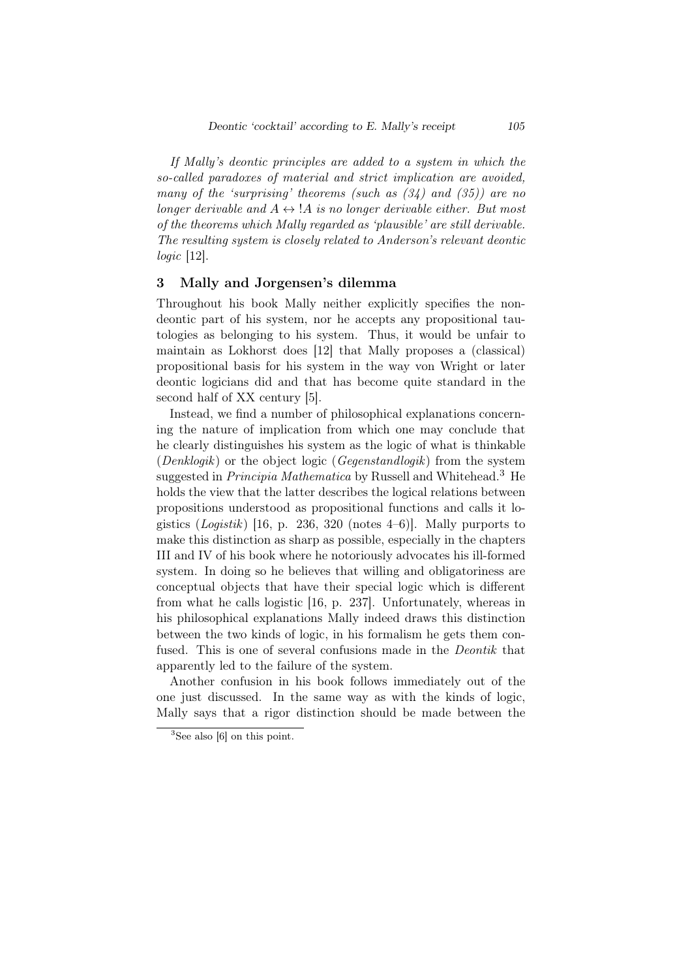*If Mally's deontic principles are added to a system in which the so-called paradoxes of material and strict implication are avoided, many of the 'surprising' theorems (such as (34) and (35)) are no longer derivable and*  $A \leftrightarrow A$  *is no longer derivable either. But most of the theorems which Mally regarded as 'plausible' are still derivable. The resulting system is closely related to Anderson's relevant deontic logic* [12].

## 3 Mally and Jorgensen's dilemma

Throughout his book Mally neither explicitly specifies the nondeontic part of his system, nor he accepts any propositional tautologies as belonging to his system. Thus, it would be unfair to maintain as Lokhorst does [12] that Mally proposes a (classical) propositional basis for his system in the way von Wright or later deontic logicians did and that has become quite standard in the second half of XX century [5].

Instead, we find a number of philosophical explanations concerning the nature of implication from which one may conclude that he clearly distinguishes his system as the logic of what is thinkable (*Denklogik*) or the object logic (*Gegenstandlogik*) from the system suggested in *Principia Mathematica* by Russell and Whitehead.<sup>3</sup> He holds the view that the latter describes the logical relations between propositions understood as propositional functions and calls it logistics (*Logistik*) [16, p. 236, 320 (notes 4–6)]. Mally purports to make this distinction as sharp as possible, especially in the chapters III and IV of his book where he notoriously advocates his ill-formed system. In doing so he believes that willing and obligatoriness are conceptual objects that have their special logic which is different from what he calls logistic [16, p. 237]. Unfortunately, whereas in his philosophical explanations Mally indeed draws this distinction between the two kinds of logic, in his formalism he gets them confused. This is one of several confusions made in the *Deontik* that apparently led to the failure of the system.

Another confusion in his book follows immediately out of the one just discussed. In the same way as with the kinds of logic, Mally says that a rigor distinction should be made between the

 ${}^{3}$ See also [6] on this point.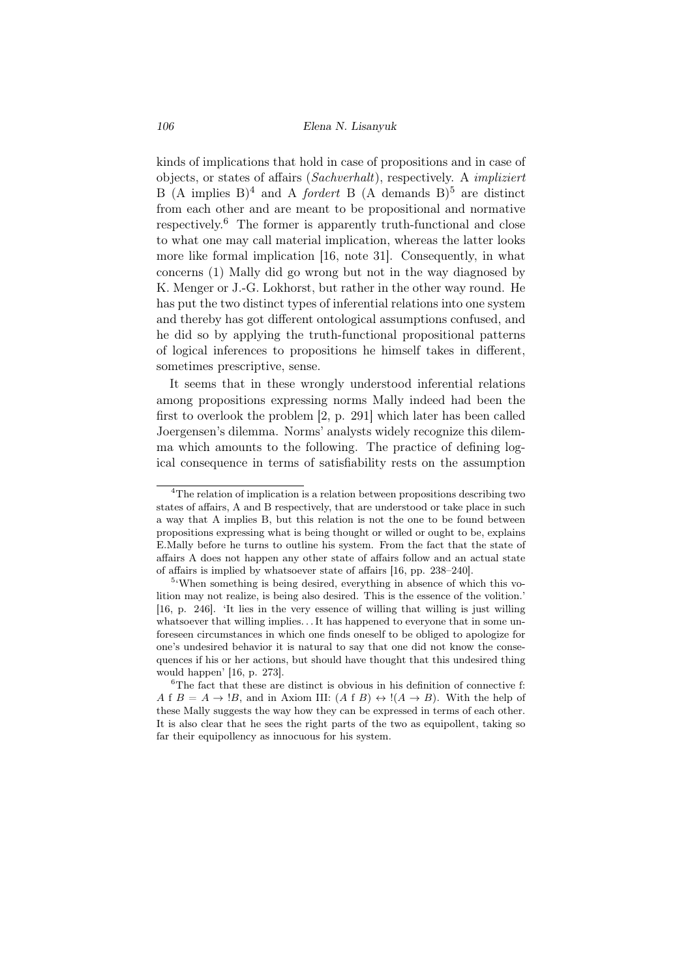kinds of implications that hold in case of propositions and in case of objects, or states of affairs (*Sachverhalt*), respectively. A *impliziert* B  $(A \text{ implies } B)^4$  and A *fordert* B  $(A \text{ demands } B)^5$  are distinct from each other and are meant to be propositional and normative respectively.<sup>6</sup> The former is apparently truth-functional and close to what one may call material implication, whereas the latter looks more like formal implication [16, note 31]. Consequently, in what concerns (1) Mally did go wrong but not in the way diagnosed by K. Menger or J.-G. Lokhorst, but rather in the other way round. He has put the two distinct types of inferential relations into one system and thereby has got different ontological assumptions confused, and he did so by applying the truth-functional propositional patterns of logical inferences to propositions he himself takes in different, sometimes prescriptive, sense.

It seems that in these wrongly understood inferential relations among propositions expressing norms Mally indeed had been the first to overlook the problem [2, p. 291] which later has been called Joergensen's dilemma. Norms' analysts widely recognize this dilemma which amounts to the following. The practice of defining logical consequence in terms of satisfiability rests on the assumption

 $\rm ^4The$  relation of implication is a relation between propositions describing two states of affairs, A and B respectively, that are understood or take place in such a way that A implies B, but this relation is not the one to be found between propositions expressing what is being thought or willed or ought to be, explains E.Mally before he turns to outline his system. From the fact that the state of affairs A does not happen any other state of affairs follow and an actual state of affairs is implied by whatsoever state of affairs [16, pp. 238–240].

<sup>5</sup> 'When something is being desired, everything in absence of which this volition may not realize, is being also desired. This is the essence of the volition.' [16, p. 246]. 'It lies in the very essence of willing that willing is just willing whatsoever that willing implies. . It has happened to everyone that in some unforeseen circumstances in which one finds oneself to be obliged to apologize for one's undesired behavior it is natural to say that one did not know the consequences if his or her actions, but should have thought that this undesired thing would happen' [16, p. 273].

 ${}^{6}$ The fact that these are distinct is obvious in his definition of connective f: *A* f *B* = *A*  $\rightarrow$  !*B*, and in Axiom III:  $(A \nvert B) \leftrightarrow$  ! $(A \rightarrow B)$ . With the help of these Mally suggests the way how they can be expressed in terms of each other. It is also clear that he sees the right parts of the two as equipollent, taking so far their equipollency as innocuous for his system.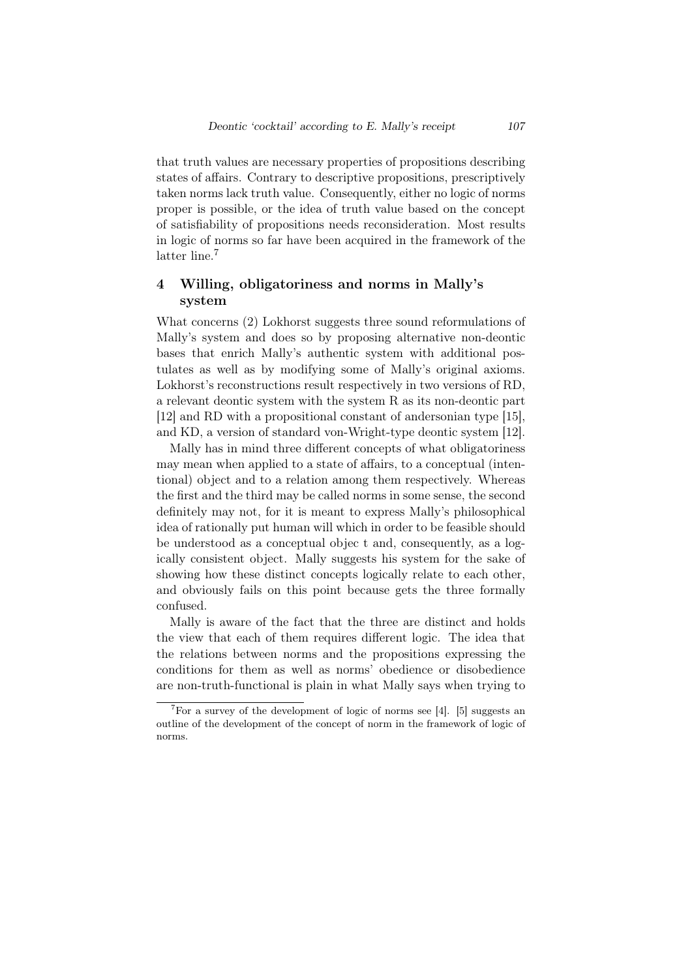that truth values are necessary properties of propositions describing states of affairs. Contrary to descriptive propositions, prescriptively taken norms lack truth value. Consequently, either no logic of norms proper is possible, or the idea of truth value based on the concept of satisfiability of propositions needs reconsideration. Most results in logic of norms so far have been acquired in the framework of the latter line.<sup>7</sup>

# 4 Willing, obligatoriness and norms in Mally's system

What concerns (2) Lokhorst suggests three sound reformulations of Mally's system and does so by proposing alternative non-deontic bases that enrich Mally's authentic system with additional postulates as well as by modifying some of Mally's original axioms. Lokhorst's reconstructions result respectively in two versions of RD, a relevant deontic system with the system R as its non-deontic part [12] and RD with a propositional constant of andersonian type [15], and KD, a version of standard von-Wright-type deontic system [12].

Mally has in mind three different concepts of what obligatoriness may mean when applied to a state of affairs, to a conceptual (intentional) object and to a relation among them respectively. Whereas the first and the third may be called norms in some sense, the second definitely may not, for it is meant to express Mally's philosophical idea of rationally put human will which in order to be feasible should be understood as a conceptual objec t and, consequently, as a logically consistent object. Mally suggests his system for the sake of showing how these distinct concepts logically relate to each other, and obviously fails on this point because gets the three formally confused.

Mally is aware of the fact that the three are distinct and holds the view that each of them requires different logic. The idea that the relations between norms and the propositions expressing the conditions for them as well as norms' obedience or disobedience are non-truth-functional is plain in what Mally says when trying to

<sup>&</sup>lt;sup>7</sup>For a survey of the development of logic of norms see [4]. [5] suggests an outline of the development of the concept of norm in the framework of logic of norms.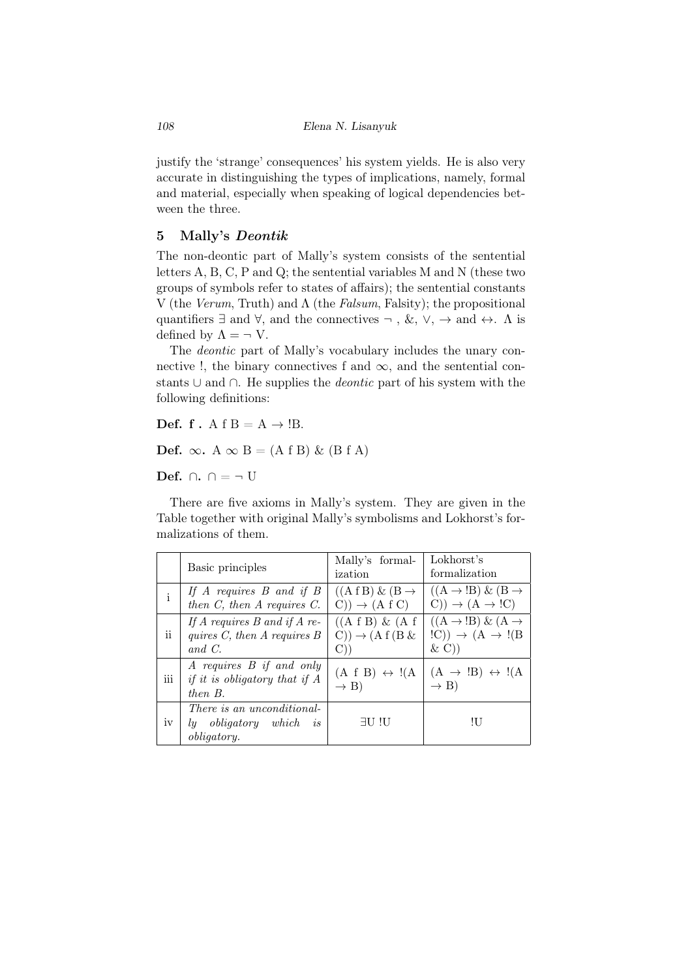justify the 'strange' consequences' his system yields. He is also very accurate in distinguishing the types of implications, namely, formal and material, especially when speaking of logical dependencies between the three.

## 5 Mally's *Deontik*

The non-deontic part of Mally's system consists of the sentential letters A, B, C, P and Q; the sentential variables M and N (these two groups of symbols refer to states of affairs); the sentential constants V (the *Verum*, Truth) and Λ (the *Falsum*, Falsity); the propositional quantifiers *∃* and *∀*, and the connectives *¬* , &, *∨*, *→* and *↔*. Λ is defined by  $\Lambda = \neg V$ .

The *deontic* part of Mally's vocabulary includes the unary connective !, the binary connectives f and  $\infty$ , and the sentential constants *∪* and *∩*. He supplies the *deontic* part of his system with the following definitions:

Def. f.  $A f B = A \rightarrow B$ .

Def.  $\infty$ . A  $\infty$  B = (A f B) & (B f A)

Def. *∩*. *∩* = *¬* U

There are five axioms in Mally's system. They are given in the Table together with original Mally's symbolisms and Lokhorst's formalizations of them.

|              | Basic principles                                                                  | Mally's formal-<br>ization                                                                          | Lokhorst's<br>formalization                                                                    |
|--------------|-----------------------------------------------------------------------------------|-----------------------------------------------------------------------------------------------------|------------------------------------------------------------------------------------------------|
| $\mathbf{i}$ | If $A$ requires $B$ and if $B$<br>then $C$ , then $A$ requires $C$ .              | $((A f B) \& (B \rightarrow$<br>$(C)) \rightarrow (A \nvert C)$                                     | $((A \rightarrow B) \& (B \rightarrow$<br>$(C)) \rightarrow (A \rightarrow !C)$                |
| ii.          | If A requires $B$ and if A re-<br>quires $C$ , then $A$ requires $B$<br>and $C$ . | $((A f B) \& (A f$<br>$(C)) \rightarrow (A f (B \&$<br>$\left(\begin{matrix} 1 \end{matrix}\right)$ | $((A \rightarrow B) \& (A \rightarrow$<br>$!C)$ $\rightarrow$ $(A \rightarrow !(B)$<br>$\& C)$ |
| iii          | A requires B if and only<br>if it is obligatory that if $A$<br>then B.            | $(A f B) \leftrightarrow \mathsf{!}(A$<br>$\rightarrow$ B)                                          | $(A \rightarrow B) \leftrightarrow I(A)$<br>$\rightarrow$ B)                                   |
| iv           | There is an unconditional-<br>ly obligatory which<br>is<br><i>obligatory.</i>     | $\exists U$ !U                                                                                      | ЧJ                                                                                             |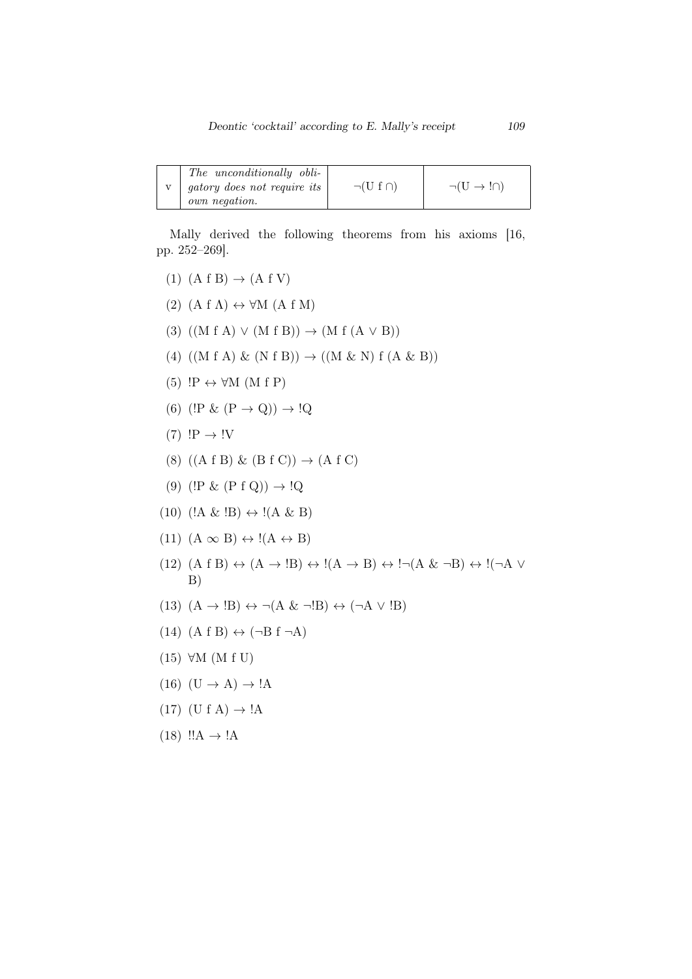|  | The unconditionally obli-<br>gatory does not require its<br>own negation. | $\neg(U f \cap)$ | $\neg(U \rightarrow \ln)$ |
|--|---------------------------------------------------------------------------|------------------|---------------------------|
|--|---------------------------------------------------------------------------|------------------|---------------------------|

Mally derived the following theorems from his axioms [16, pp. 252–269].

 $(1)$   $(A f B) \rightarrow (A f V)$ (2)  $(A f \Lambda) \leftrightarrow \forall M (A f M)$ (3) ((M f A) *∨* (M f B)) *→* (M f (A *∨* B)) (4) ((M f A) & (N f B)) *→* ((M & N) f (A & B)) (5) !P *↔ ∀*M (M f P) (6) ( $!P \& (P \rightarrow Q)$ )  $\rightarrow !Q$  $(7)$   $!P \rightarrow !V$ (8) ((A f B) & (B f C)) *→* (A f C)  $(9)$  ( $!P \& (P f Q) \rightarrow !Q$  $(10)$   $($ !A & !B $) \leftrightarrow$  !(A & B)  $(11)$   $(A \infty B) \leftrightarrow I(A \leftrightarrow B)$  $(12)$   $(A f B) \leftrightarrow (A \rightarrow B) \leftrightarrow I(A \rightarrow B) \leftrightarrow I \rightarrow (A \& \neg B) \leftrightarrow I \rightarrow A$ B)  $(13)$   $(A \rightarrow B) \leftrightarrow \neg(A \& \neg B) \leftrightarrow (\neg A \lor B)$ (14) (A f B) *↔* (*¬*B f *¬*A) (15) *∀*M (M f U)  $(16)$   $(U \rightarrow A) \rightarrow !A$  $(17)$   $(U f A) \rightarrow 'A$  $(18)$  !! $A \rightarrow !A$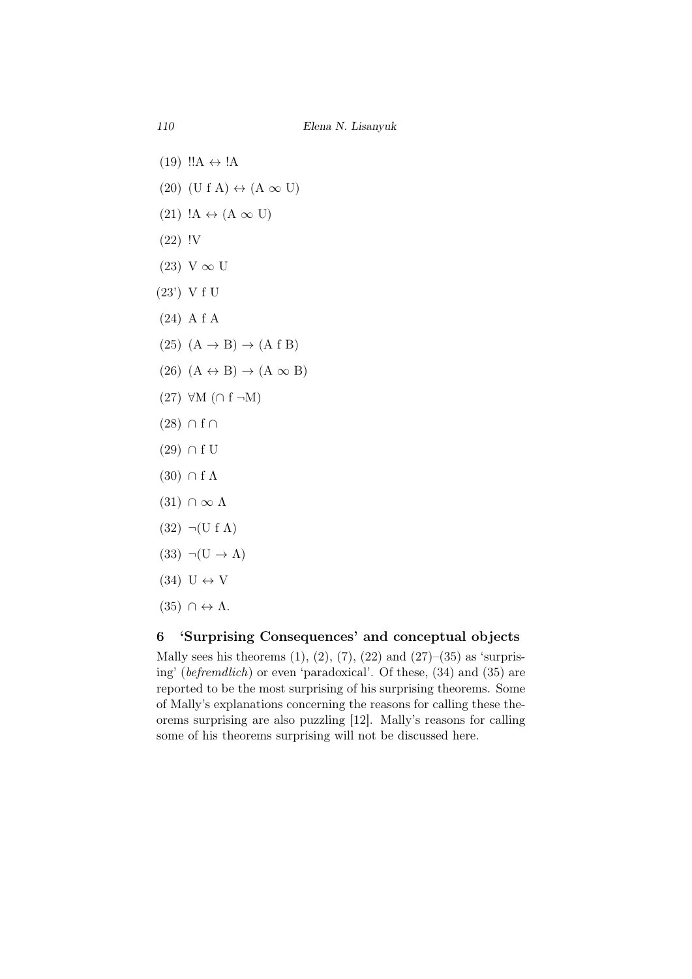- $(19)$   $!!$ A  $\leftrightarrow$  !A
- $(20)$  (U f A)  $\leftrightarrow$  (A  $\infty$  U)
- $(21)$  !A  $\leftrightarrow$  (A  $\infty$  U)
- (22) !V
- (23) V *∞* U
- (23') V f U
- (24) A f A
- $(25)$   $(A \rightarrow B) \rightarrow (A \text{ f } B)$
- $(26)$   $(A \leftrightarrow B) \rightarrow (A \infty B)$
- (27) *∀*M (*∩* f *¬*M)
- (28) *∩* f *∩*
- (29) *∩* f U
- $(30)$  ∩ f  $\Lambda$
- $(31) \cap \infty \Lambda$
- $(32)$   $\neg$ (U f  $\Lambda$ )
- $(33)$   $\neg(U \rightarrow \Lambda)$
- $(34) U \leftrightarrow V$
- $(35) \cap \leftrightarrow \Lambda$ .

## 6 'Surprising Consequences' and conceptual objects

Mally sees his theorems  $(1), (2), (7), (22)$  and  $(27)–(35)$  as 'surprising' (*befremdlich*) or even 'paradoxical'. Of these, (34) and (35) are reported to be the most surprising of his surprising theorems. Some of Mally's explanations concerning the reasons for calling these theorems surprising are also puzzling [12]. Mally's reasons for calling some of his theorems surprising will not be discussed here.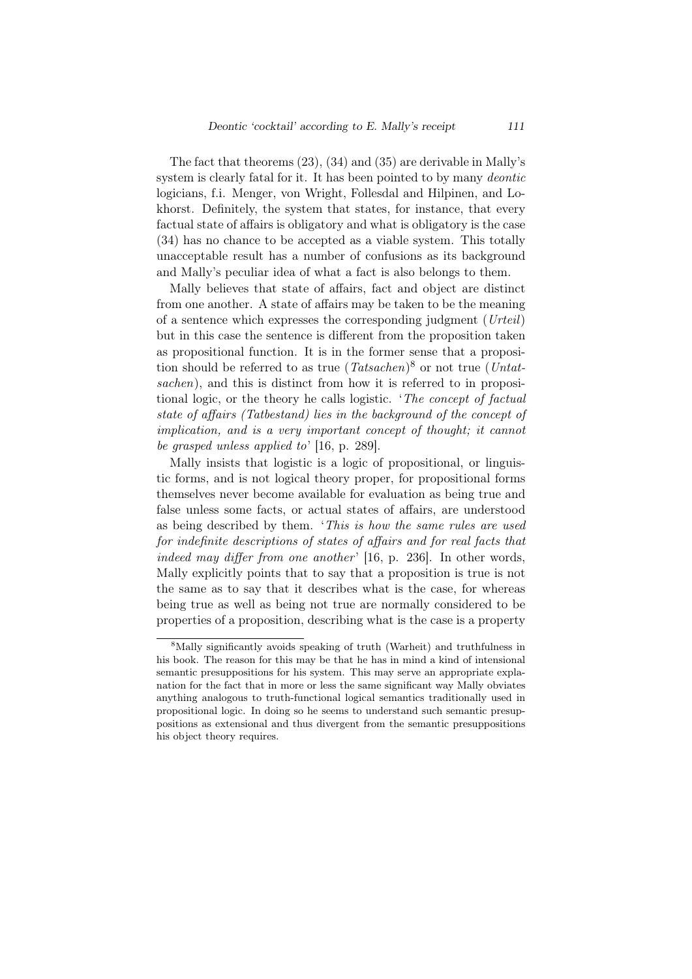The fact that theorems (23), (34) and (35) are derivable in Mally's system is clearly fatal for it. It has been pointed to by many *deontic* logicians, f.i. Menger, von Wright, Follesdal and Hilpinen, and Lokhorst. Definitely, the system that states, for instance, that every factual state of affairs is obligatory and what is obligatory is the case (34) has no chance to be accepted as a viable system. This totally unacceptable result has a number of confusions as its background and Mally's peculiar idea of what a fact is also belongs to them.

Mally believes that state of affairs, fact and object are distinct from one another. A state of affairs may be taken to be the meaning of a sentence which expresses the corresponding judgment (*Urteil*) but in this case the sentence is different from the proposition taken as propositional function. It is in the former sense that a proposition should be referred to as true (*Tatsachen*) <sup>8</sup> or not true (*Untatsachen*), and this is distinct from how it is referred to in propositional logic, or the theory he calls logistic. '*The concept of factual state of affairs (Tatbestand) lies in the background of the concept of implication, and is a very important concept of thought; it cannot be grasped unless applied to*' [16, p. 289].

Mally insists that logistic is a logic of propositional, or linguistic forms, and is not logical theory proper, for propositional forms themselves never become available for evaluation as being true and false unless some facts, or actual states of affairs, are understood as being described by them. '*This is how the same rules are used for indefinite descriptions of states of affairs and for real facts that indeed may differ from one another* [16, p. 236]. In other words, Mally explicitly points that to say that a proposition is true is not the same as to say that it describes what is the case, for whereas being true as well as being not true are normally considered to be properties of a proposition, describing what is the case is a property

<sup>8</sup>Mally significantly avoids speaking of truth (Warheit) and truthfulness in his book. The reason for this may be that he has in mind a kind of intensional semantic presuppositions for his system. This may serve an appropriate explanation for the fact that in more or less the same significant way Mally obviates anything analogous to truth-functional logical semantics traditionally used in propositional logic. In doing so he seems to understand such semantic presuppositions as extensional and thus divergent from the semantic presuppositions his object theory requires.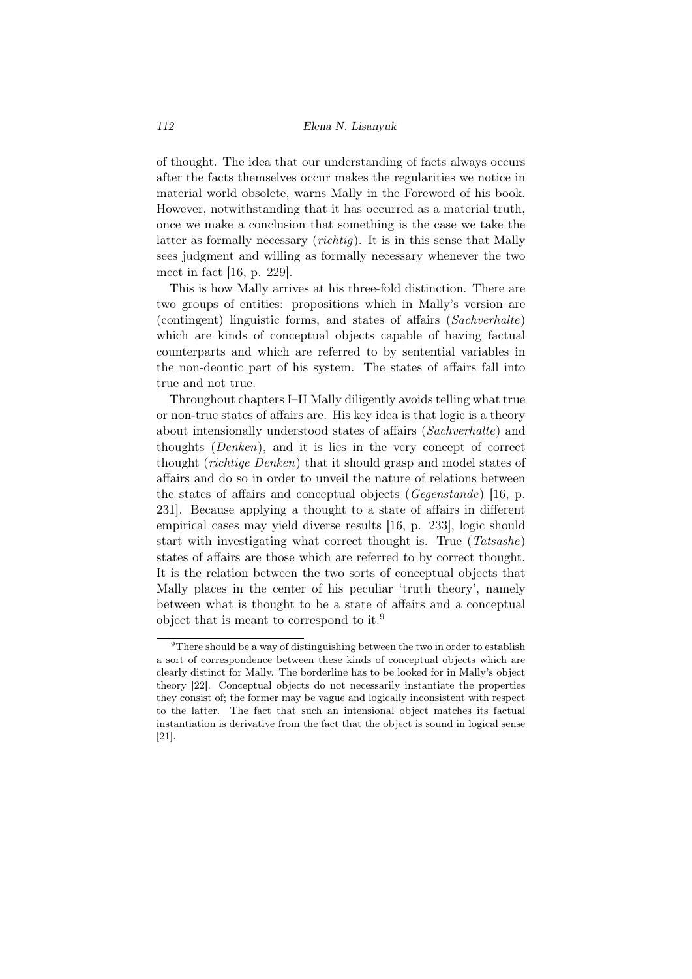of thought. The idea that our understanding of facts always occurs after the facts themselves occur makes the regularities we notice in material world obsolete, warns Mally in the Foreword of his book. However, notwithstanding that it has occurred as a material truth, once we make a conclusion that something is the case we take the latter as formally necessary (*richtig*). It is in this sense that Mally sees judgment and willing as formally necessary whenever the two meet in fact [16, p. 229].

This is how Mally arrives at his three-fold distinction. There are two groups of entities: propositions which in Mally's version are (contingent) linguistic forms, and states of affairs (*Sachverhalte*) which are kinds of conceptual objects capable of having factual counterparts and which are referred to by sentential variables in the non-deontic part of his system. The states of affairs fall into true and not true.

Throughout chapters I–II Mally diligently avoids telling what true or non-true states of affairs are. His key idea is that logic is a theory about intensionally understood states of affairs (*Sachverhalte*) and thoughts (*Denken*), and it is lies in the very concept of correct thought (*richtige Denken*) that it should grasp and model states of affairs and do so in order to unveil the nature of relations between the states of affairs and conceptual objects (*Gegenstande*) [16, p. 231]. Because applying a thought to a state of affairs in different empirical cases may yield diverse results [16, p. 233], logic should start with investigating what correct thought is. True (*Tatsashe*) states of affairs are those which are referred to by correct thought. It is the relation between the two sorts of conceptual objects that Mally places in the center of his peculiar 'truth theory', namely between what is thought to be a state of affairs and a conceptual object that is meant to correspond to it.<sup>9</sup>

<sup>&</sup>lt;sup>9</sup>There should be a way of distinguishing between the two in order to establish a sort of correspondence between these kinds of conceptual objects which are clearly distinct for Mally. The borderline has to be looked for in Mally's object theory [22]. Conceptual objects do not necessarily instantiate the properties they consist of; the former may be vague and logically inconsistent with respect to the latter. The fact that such an intensional object matches its factual instantiation is derivative from the fact that the object is sound in logical sense [21].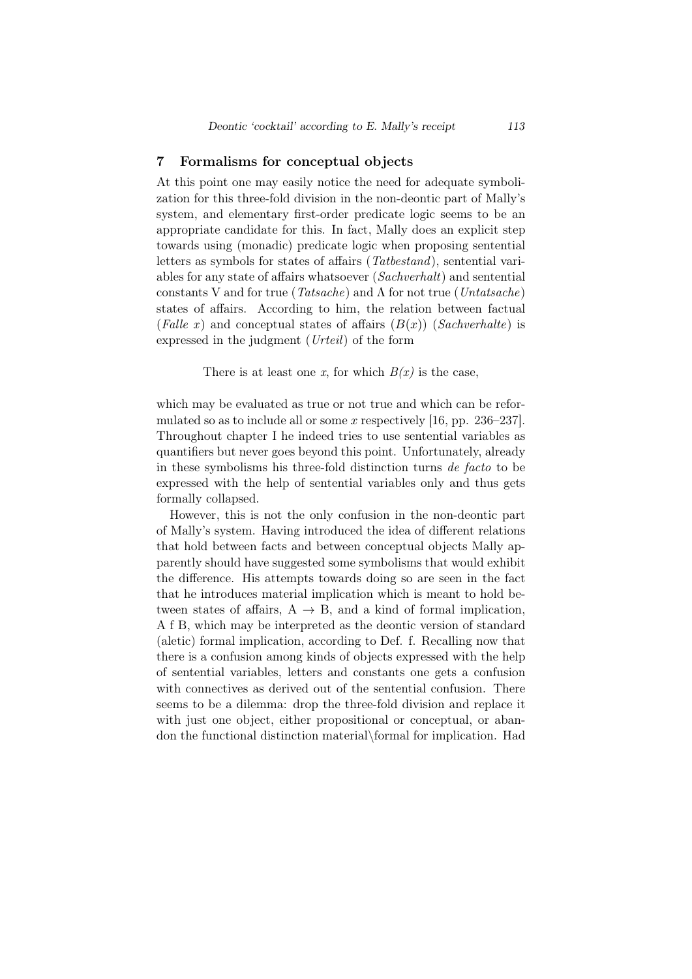## 7 Formalisms for conceptual objects

At this point one may easily notice the need for adequate symbolization for this three-fold division in the non-deontic part of Mally's system, and elementary first-order predicate logic seems to be an appropriate candidate for this. In fact, Mally does an explicit step towards using (monadic) predicate logic when proposing sentential letters as symbols for states of affairs (*Tatbestand*), sentential variables for any state of affairs whatsoever (*Sachverhalt*) and sentential constants V and for true (*Tatsache*) and Λ for not true (*Untatsache*) states of affairs. According to him, the relation between factual (*Falle x*) and conceptual states of affairs  $(B(x))$  (*Sachverhalte*) is expressed in the judgment (*Urteil*) of the form

There is at least one *x*, for which  $B(x)$  is the case,

which may be evaluated as true or not true and which can be reformulated so as to include all or some *x* respectively [16, pp. 236–237]. Throughout chapter I he indeed tries to use sentential variables as quantifiers but never goes beyond this point. Unfortunately, already in these symbolisms his three-fold distinction turns *de facto* to be expressed with the help of sentential variables only and thus gets formally collapsed.

However, this is not the only confusion in the non-deontic part of Mally's system. Having introduced the idea of different relations that hold between facts and between conceptual objects Mally apparently should have suggested some symbolisms that would exhibit the difference. His attempts towards doing so are seen in the fact that he introduces material implication which is meant to hold between states of affairs,  $A \rightarrow B$ , and a kind of formal implication, A f B, which may be interpreted as the deontic version of standard (aletic) formal implication, according to Def. f. Recalling now that there is a confusion among kinds of objects expressed with the help of sentential variables, letters and constants one gets a confusion with connectives as derived out of the sentential confusion. There seems to be a dilemma: drop the three-fold division and replace it with just one object, either propositional or conceptual, or abandon the functional distinction material*\*formal for implication. Had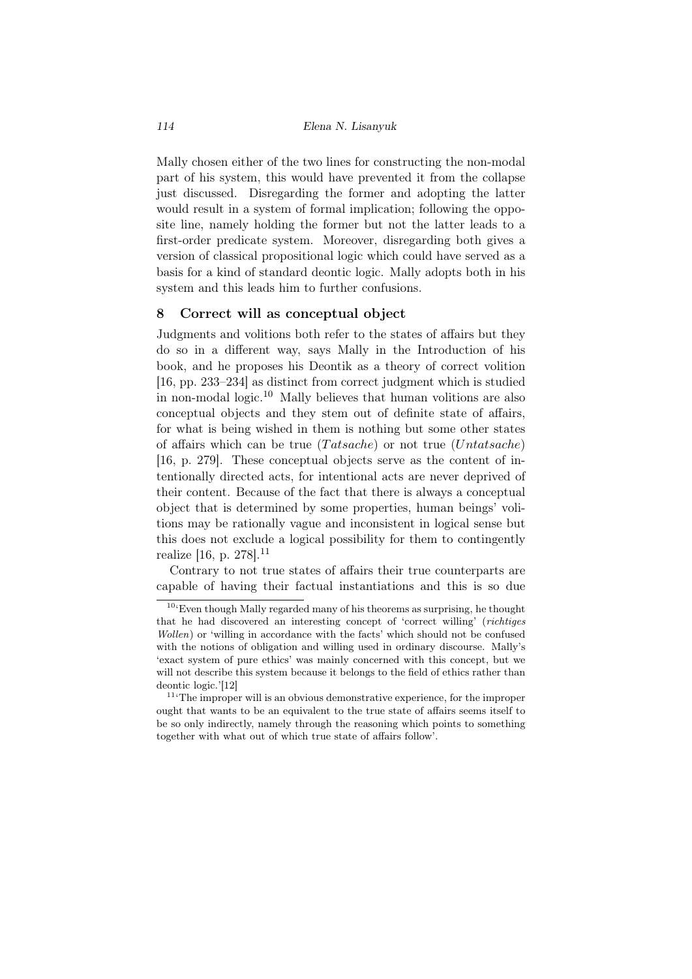Mally chosen either of the two lines for constructing the non-modal part of his system, this would have prevented it from the collapse just discussed. Disregarding the former and adopting the latter would result in a system of formal implication; following the opposite line, namely holding the former but not the latter leads to a first-order predicate system. Moreover, disregarding both gives a version of classical propositional logic which could have served as a basis for a kind of standard deontic logic. Mally adopts both in his system and this leads him to further confusions.

#### 8 Correct will as conceptual object

Judgments and volitions both refer to the states of affairs but they do so in a different way, says Mally in the Introduction of his book, and he proposes his Deontik as a theory of correct volition [16, pp. 233–234] as distinct from correct judgment which is studied in non-modal logic.<sup>10</sup> Mally believes that human volitions are also conceptual objects and they stem out of definite state of affairs, for what is being wished in them is nothing but some other states of affairs which can be true (*T atsache*) or not true (*Untatsache*) [16, p. 279]. These conceptual objects serve as the content of intentionally directed acts, for intentional acts are never deprived of their content. Because of the fact that there is always a conceptual object that is determined by some properties, human beings' volitions may be rationally vague and inconsistent in logical sense but this does not exclude a logical possibility for them to contingently realize [16, p.  $278$ ].<sup>11</sup>

Contrary to not true states of affairs their true counterparts are capable of having their factual instantiations and this is so due

 $10^6$ Even though Mally regarded many of his theorems as surprising, he thought that he had discovered an interesting concept of 'correct willing' (*richtiges Wollen*) or 'willing in accordance with the facts' which should not be confused with the notions of obligation and willing used in ordinary discourse. Mally's 'exact system of pure ethics' was mainly concerned with this concept, but we will not describe this system because it belongs to the field of ethics rather than deontic logic.'[12]

 $11$ <sup>t</sup>The improper will is an obvious demonstrative experience, for the improper ought that wants to be an equivalent to the true state of affairs seems itself to be so only indirectly, namely through the reasoning which points to something together with what out of which true state of affairs follow'.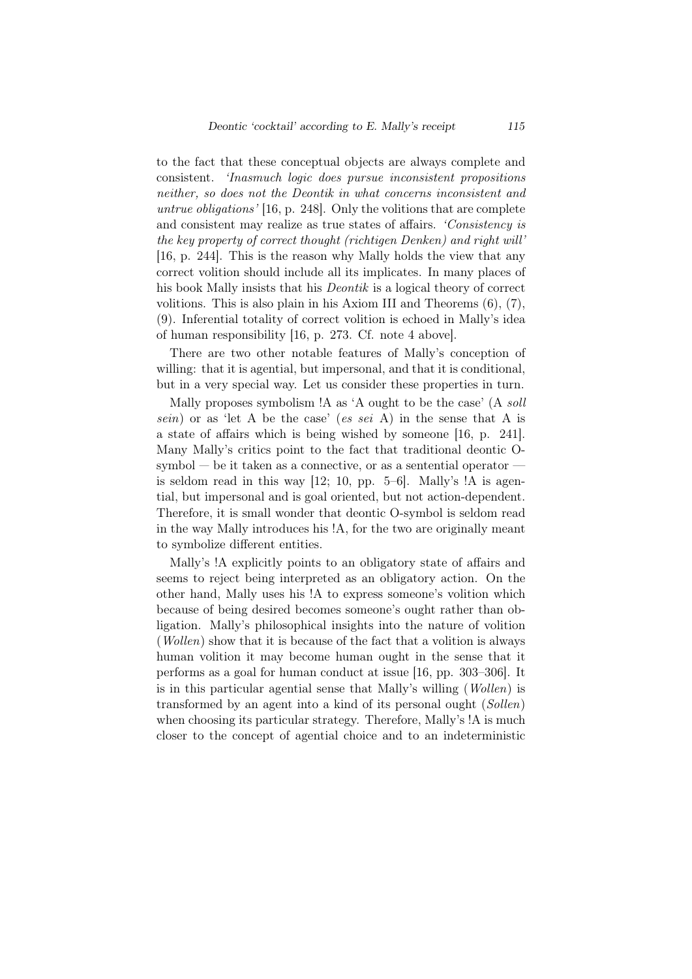to the fact that these conceptual objects are always complete and consistent. *'Inasmuch logic does pursue inconsistent propositions neither, so does not the Deontik in what concerns inconsistent and untrue obligations'* [16, p. 248]. Only the volitions that are complete and consistent may realize as true states of affairs. *'Consistency is the key property of correct thought (richtigen Denken) and right will'* [16, p. 244]. This is the reason why Mally holds the view that any correct volition should include all its implicates. In many places of his book Mally insists that his *Deontik* is a logical theory of correct volitions. This is also plain in his Axiom III and Theorems (6), (7), (9). Inferential totality of correct volition is echoed in Mally's idea of human responsibility [16, p. 273. Cf. note 4 above].

There are two other notable features of Mally's conception of willing: that it is agential, but impersonal, and that it is conditional, but in a very special way. Let us consider these properties in turn.

Mally proposes symbolism !A as 'A ought to be the case' (A *soll sein*) or as 'let A be the case' (*es sei* A) in the sense that A is a state of affairs which is being wished by someone [16, p. 241]. Many Mally's critics point to the fact that traditional deontic Osymbol — be it taken as a connective, or as a sentential operator –– is seldom read in this way [12; 10, pp. 5–6]. Mally's !A is agential, but impersonal and is goal oriented, but not action-dependent. Therefore, it is small wonder that deontic O-symbol is seldom read in the way Mally introduces his !A, for the two are originally meant to symbolize different entities.

Mally's !A explicitly points to an obligatory state of affairs and seems to reject being interpreted as an obligatory action. On the other hand, Mally uses his !A to express someone's volition which because of being desired becomes someone's ought rather than obligation. Mally's philosophical insights into the nature of volition (*Wollen*) show that it is because of the fact that a volition is always human volition it may become human ought in the sense that it performs as a goal for human conduct at issue [16, pp. 303–306]. It is in this particular agential sense that Mally's willing (*Wollen*) is transformed by an agent into a kind of its personal ought (*Sollen*) when choosing its particular strategy. Therefore, Mally's !A is much closer to the concept of agential choice and to an indeterministic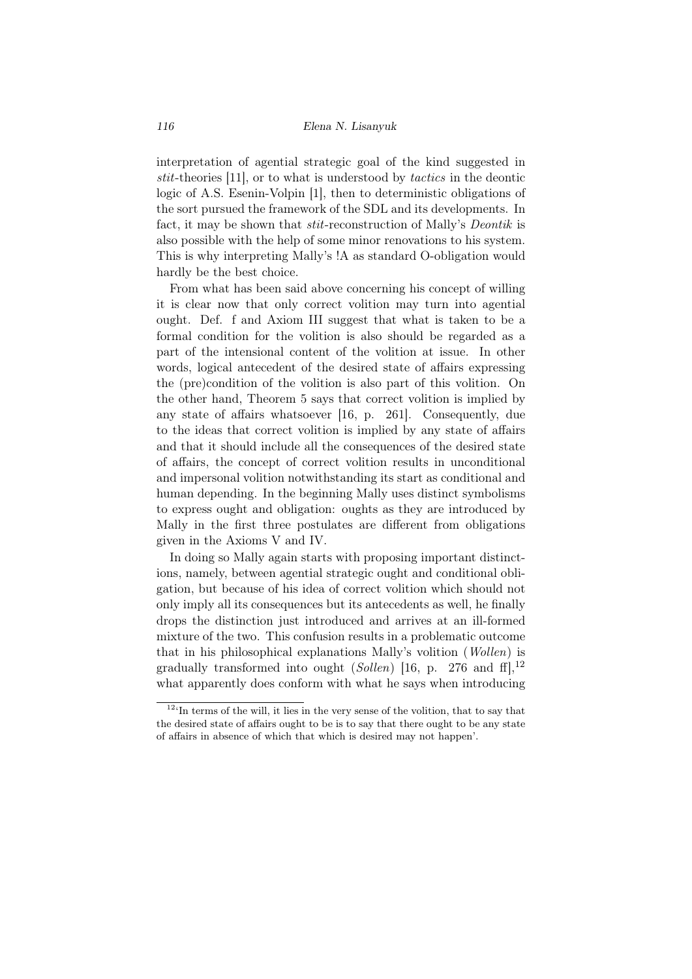interpretation of agential strategic goal of the kind suggested in *stit*-theories [11], or to what is understood by *tactics* in the deontic logic of A.S. Esenin-Volpin [1], then to deterministic obligations of the sort pursued the framework of the SDL and its developments. In fact, it may be shown that *stit*-reconstruction of Mally's *Deontik* is also possible with the help of some minor renovations to his system. This is why interpreting Mally's !A as standard O-obligation would hardly be the best choice.

From what has been said above concerning his concept of willing it is clear now that only correct volition may turn into agential ought. Def. f and Axiom III suggest that what is taken to be a formal condition for the volition is also should be regarded as a part of the intensional content of the volition at issue. In other words, logical antecedent of the desired state of affairs expressing the (pre)condition of the volition is also part of this volition. On the other hand, Theorem 5 says that correct volition is implied by any state of affairs whatsoever [16, p. 261]. Consequently, due to the ideas that correct volition is implied by any state of affairs and that it should include all the consequences of the desired state of affairs, the concept of correct volition results in unconditional and impersonal volition notwithstanding its start as conditional and human depending. In the beginning Mally uses distinct symbolisms to express ought and obligation: oughts as they are introduced by Mally in the first three postulates are different from obligations given in the Axioms V and IV.

In doing so Mally again starts with proposing important distinctions, namely, between agential strategic ought and conditional obligation, but because of his idea of correct volition which should not only imply all its consequences but its antecedents as well, he finally drops the distinction just introduced and arrives at an ill-formed mixture of the two. This confusion results in a problematic outcome that in his philosophical explanations Mally's volition (*Wollen*) is gradually transformed into ought (*Sollen*) [16, p. 276 and ff],<sup>12</sup> what apparently does conform with what he says when introducing

 $\frac{12}{\mu}$  terms of the will, it lies in the very sense of the volition, that to say that the desired state of affairs ought to be is to say that there ought to be any state of affairs in absence of which that which is desired may not happen'.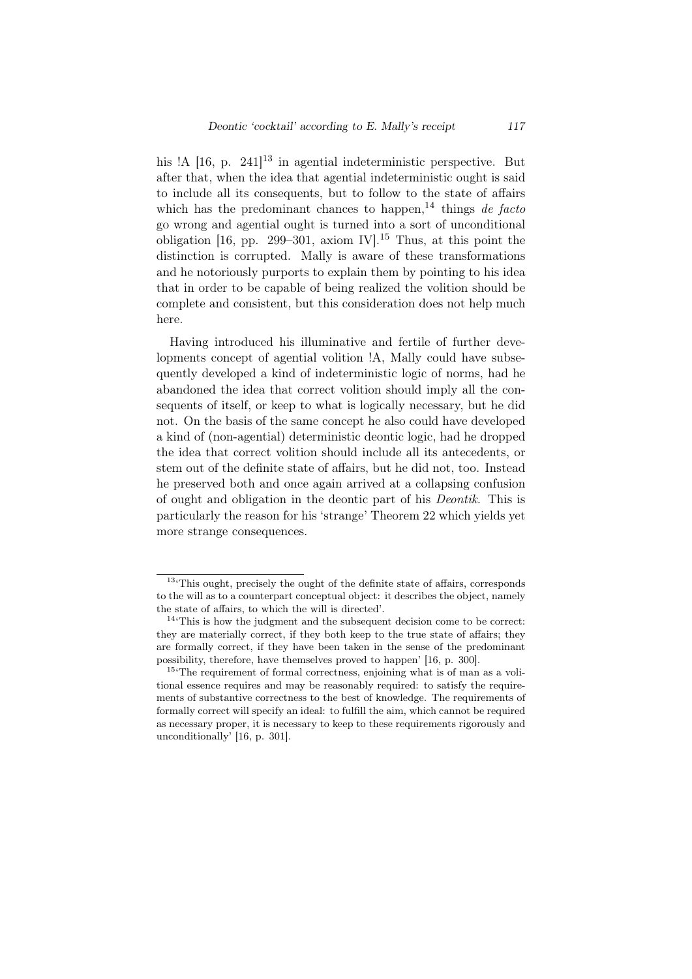his  $\mathbb{R}$  [16, p. 241]<sup>13</sup> in agential indeterministic perspective. But after that, when the idea that agential indeterministic ought is said to include all its consequents, but to follow to the state of affairs which has the predominant chances to happen,<sup>14</sup> things *de facto* go wrong and agential ought is turned into a sort of unconditional obligation [16, pp. 299–301, axiom IV].<sup>15</sup> Thus, at this point the distinction is corrupted. Mally is aware of these transformations and he notoriously purports to explain them by pointing to his idea that in order to be capable of being realized the volition should be complete and consistent, but this consideration does not help much here.

Having introduced his illuminative and fertile of further developments concept of agential volition !A, Mally could have subsequently developed a kind of indeterministic logic of norms, had he abandoned the idea that correct volition should imply all the consequents of itself, or keep to what is logically necessary, but he did not. On the basis of the same concept he also could have developed a kind of (non-agential) deterministic deontic logic, had he dropped the idea that correct volition should include all its antecedents, or stem out of the definite state of affairs, but he did not, too. Instead he preserved both and once again arrived at a collapsing confusion of ought and obligation in the deontic part of his *Deontik*. This is particularly the reason for his 'strange' Theorem 22 which yields yet more strange consequences.

<sup>&</sup>lt;sup>13</sup><sup>This</sup> ought, precisely the ought of the definite state of affairs, corresponds to the will as to a counterpart conceptual object: it describes the object, namely the state of affairs, to which the will is directed'.

 $14$ <sup>t</sup>This is how the judgment and the subsequent decision come to be correct: they are materially correct, if they both keep to the true state of affairs; they are formally correct, if they have been taken in the sense of the predominant possibility, therefore, have themselves proved to happen' [16, p. 300].

<sup>&</sup>lt;sup>15</sup><sup>The</sup> requirement of formal correctness, enjoining what is of man as a volitional essence requires and may be reasonably required: to satisfy the requirements of substantive correctness to the best of knowledge. The requirements of formally correct will specify an ideal: to fulfill the aim, which cannot be required as necessary proper, it is necessary to keep to these requirements rigorously and unconditionally' [16, p. 301].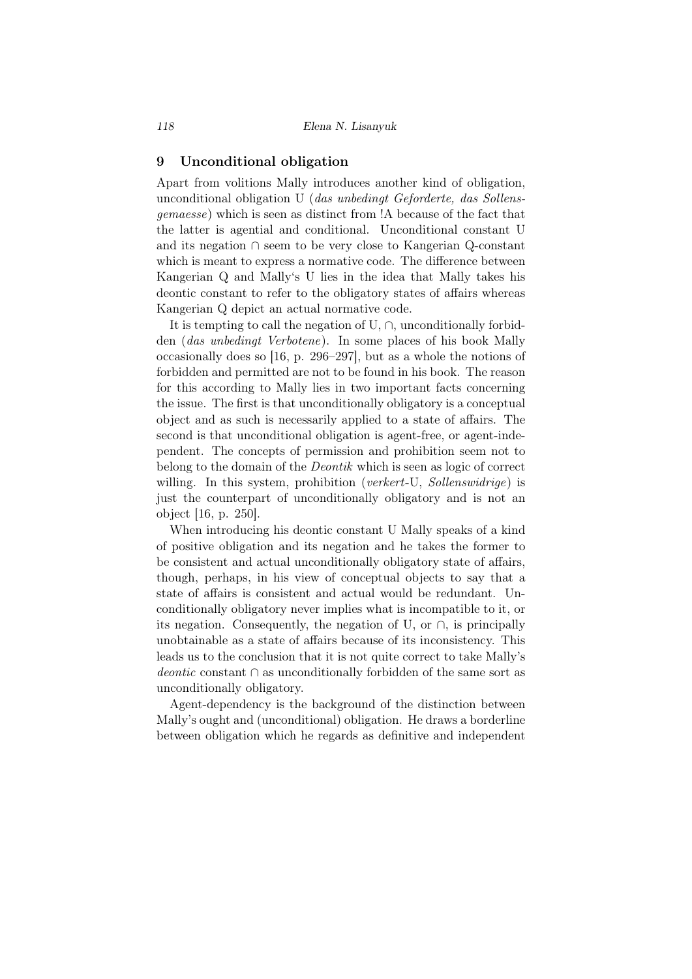### 9 Unconditional obligation

Apart from volitions Mally introduces another kind of obligation, unconditional obligation U (*das unbedingt Geforderte, das Sollensgemaesse*) which is seen as distinct from !A because of the fact that the latter is agential and conditional. Unconditional constant U and its negation *∩* seem to be very close to Kangerian Q-constant which is meant to express a normative code. The difference between Kangerian Q and Mally's U lies in the idea that Mally takes his deontic constant to refer to the obligatory states of affairs whereas Kangerian Q depict an actual normative code.

It is tempting to call the negation of U, *∩*, unconditionally forbidden (*das unbedingt Verbotene*). In some places of his book Mally occasionally does so [16, p. 296–297], but as a whole the notions of forbidden and permitted are not to be found in his book. The reason for this according to Mally lies in two important facts concerning the issue. The first is that unconditionally obligatory is a conceptual object and as such is necessarily applied to a state of affairs. The second is that unconditional obligation is agent-free, or agent-independent. The concepts of permission and prohibition seem not to belong to the domain of the *Deontik* which is seen as logic of correct willing. In this system, prohibition (*verkert*-U, *Sollenswidrige*) is just the counterpart of unconditionally obligatory and is not an object [16, p. 250].

When introducing his deontic constant U Mally speaks of a kind of positive obligation and its negation and he takes the former to be consistent and actual unconditionally obligatory state of affairs, though, perhaps, in his view of conceptual objects to say that a state of affairs is consistent and actual would be redundant. Unconditionally obligatory never implies what is incompatible to it, or its negation. Consequently, the negation of U, or *∩*, is principally unobtainable as a state of affairs because of its inconsistency. This leads us to the conclusion that it is not quite correct to take Mally's *deontic* constant *∩* as unconditionally forbidden of the same sort as unconditionally obligatory.

Agent-dependency is the background of the distinction between Mally's ought and (unconditional) obligation. He draws a borderline between obligation which he regards as definitive and independent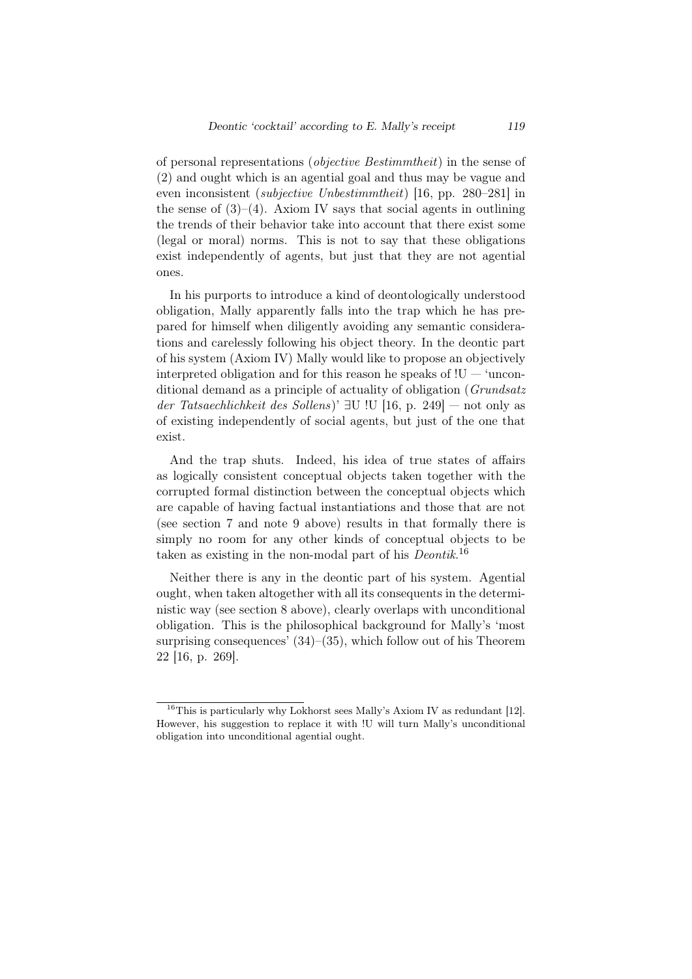of personal representations (*objective Bestimmtheit*) in the sense of (2) and ought which is an agential goal and thus may be vague and even inconsistent (*subjective Unbestimmtheit*) [16, pp. 280–281] in the sense of  $(3)–(4)$ . Axiom IV says that social agents in outlining the trends of their behavior take into account that there exist some (legal or moral) norms. This is not to say that these obligations exist independently of agents, but just that they are not agential ones.

In his purports to introduce a kind of deontologically understood obligation, Mally apparently falls into the trap which he has prepared for himself when diligently avoiding any semantic considerations and carelessly following his object theory. In the deontic part of his system (Axiom IV) Mally would like to propose an objectively interpreted obligation and for this reason he speaks of  $!U - 'uncon$ ditional demand as a principle of actuality of obligation (*Grundsatz der Tatsaechlichkeit des Sollens*)' *∃*U !U [16, p. 249] — not only as of existing independently of social agents, but just of the one that exist.

And the trap shuts. Indeed, his idea of true states of affairs as logically consistent conceptual objects taken together with the corrupted formal distinction between the conceptual objects which are capable of having factual instantiations and those that are not (see section 7 and note 9 above) results in that formally there is simply no room for any other kinds of conceptual objects to be taken as existing in the non-modal part of his *Deontik*. 16

Neither there is any in the deontic part of his system. Agential ought, when taken altogether with all its consequents in the deterministic way (see section 8 above), clearly overlaps with unconditional obligation. This is the philosophical background for Mally's 'most surprising consequences' (34)–(35), which follow out of his Theorem 22 [16, p. 269].

<sup>&</sup>lt;sup>16</sup>This is particularly why Lokhorst sees Mally's Axiom IV as redundant [12]. However, his suggestion to replace it with !U will turn Mally's unconditional obligation into unconditional agential ought.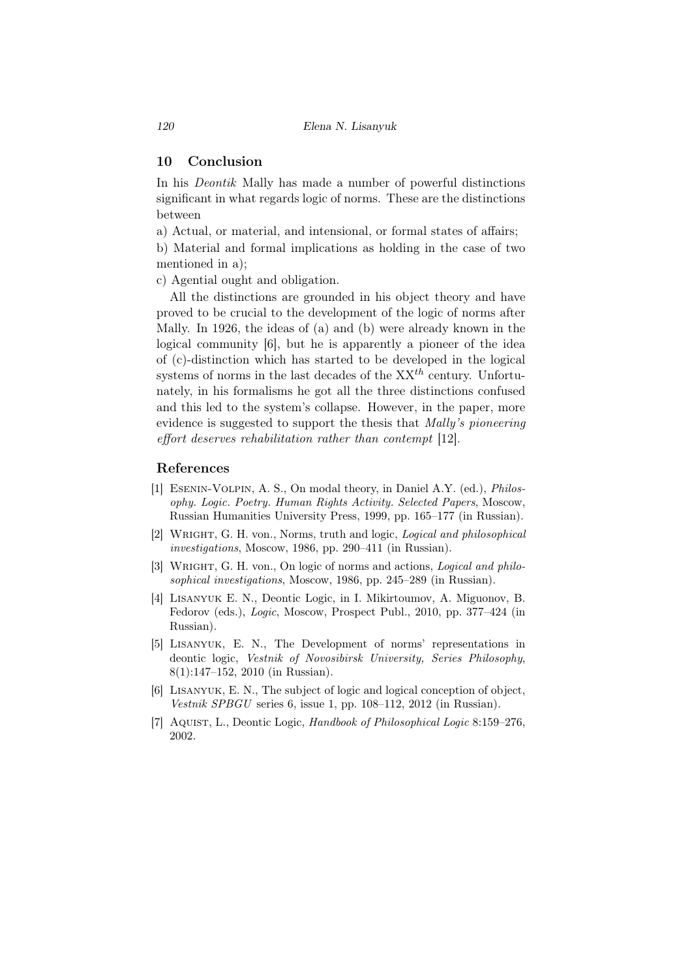## 10 Conclusion

In his *Deontik* Mally has made a number of powerful distinctions significant in what regards logic of norms. These are the distinctions between

a) Actual, or material, and intensional, or formal states of affairs;

b) Material and formal implications as holding in the case of two mentioned in a);

c) Agential ought and obligation.

All the distinctions are grounded in his object theory and have proved to be crucial to the development of the logic of norms after Mally. In 1926, the ideas of (a) and (b) were already known in the logical community [6], but he is apparently a pioneer of the idea of (c)-distinction which has started to be developed in the logical systems of norms in the last decades of the XX*th* century. Unfortunately, in his formalisms he got all the three distinctions confused and this led to the system's collapse. However, in the paper, more evidence is suggested to support the thesis that *Mally's pioneering effort deserves rehabilitation rather than contempt* [12].

## References

- [1] Esenin-Volpin, A. S., On modal theory, in Daniel A.Y. (ed.), *Philosophy. Logic. Poetry. Human Rights Activity. Selected Papers*, Moscow, Russian Humanities University Press, 1999, pp. 165–177 (in Russian).
- [2] Wright, G. H. von., Norms, truth and logic, *Logical and philosophical investigations*, Moscow, 1986, pp. 290–411 (in Russian).
- [3] Wright, G. H. von., On logic of norms and actions, *Logical and philosophical investigations*, Moscow, 1986, pp. 245–289 (in Russian).
- [4] Lisanyuk E. N., Deontic Logic, in I. Mikirtoumov, A. Miguonov, B. Fedorov (eds.), *Logic*, Moscow, Prospect Publ., 2010, pp. 377–424 (in Russian).
- [5] Lisanyuk, E. N., The Development of norms' representations in deontic logic, *Vestnik of Novosibirsk University, Series Philosophy*, 8(1):147–152, 2010 (in Russian).
- [6] Lisanyuk, E. N., The subject of logic and logical conception of object, *Vestnik SPBGU* series 6, issue 1, pp. 108–112, 2012 (in Russian).
- [7] Aquist, L., Deontic Logic, *Handbook of Philosophical Logic* 8:159–276, 2002.